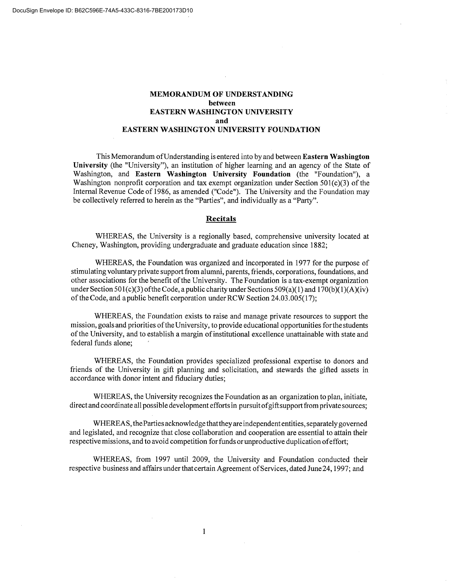### **MEMORANDUM OF UNDERSTANDING between EASTERN WASHINGTON UNIVERSITY and EASTERN WASHINGTON UNIVERSITY FOUNDATION**

This Memorandum ofUnderstanding is entered into by and between **Eastern Washington University** (the "University"), an institution of higher learning and an agency of the State of Washington, and **Eastern Washington University Foundation** (the "Foundation"), a Washington nonprofit corporation and tax exempt organization under Section  $501(c)(3)$  of the Internal Revenue Code of 1986, as amended ("Code"). The University and the Foundation may be collectively referred to herein as the "Parties", and individually as a "Party".

#### **Recitals**

WHEREAS, the University is a regionally based, comprehensive university located at Cheney, Washington, providing undergraduate and graduate education since 1882;

WHEREAS, the Foundation was organized and incorporated in 1977 for the purpose of stimulating voluntary private support from alumni, parents, friends, corporations, foundations, and other associations for the benefit of the University. The Foundation is a tax-exempt organization under Section 501(c)(3) of the Code, a public charity under Sections 509(a)(1) and 170(b)(1)(A)(iv) of the Code, and a public benefit corporation under RCW Section 24.03.005(17);

WHEREAS, the Foundation exists to raise and manage private resources to support the mission, goals and priorities of the University, to provide educational opportunities for the students of the University, and to establish a margin of institutional excellence unattainable with state and federal funds alone;

WHEREAS, the Foundation provides specialized professional expertise to donors and friends of the University in gift planning and solicitation, and stewards the gifted assets in accordance with donor intent and fiduciary duties;

WHEREAS, the University recognizes the Foundation as an organization to plan, initiate, direct and coordinate all possible development efforts in pursuit ofgiftsupport from private sources;

WHEREAS, theParties acknowledge thatthey are independent entities, separately governed and legislated, and recognize that close collaboration and cooperation are essential to attain their respective missions, and to avoid competition for funds or unproductive duplication ofeffort;

WHEREAS, from 1997 until 2009, the University and Foundation conducted their respective business and affairs under that certain Agreement of Services, dated June 24, 1997; and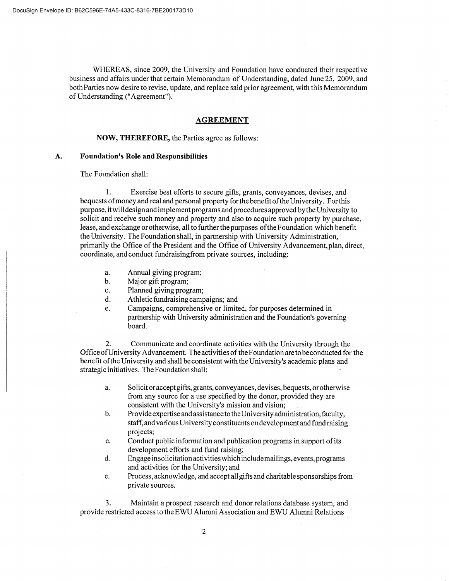WHEREAS, since 2009, the University and Foundation have conducted their respective business and affairs under that certain Memorandum of Understanding, dated June 25, 2009, and both Parties now desire to revise, update, and replace said prior agreement, with this Memorandum of Understanding ("Agreement").

#### **AGREEMENT**

#### **NOW, THEREFORE,** the Parties agree as follows:

### **A. Foundation's Role and Responsibilities**

The Foundation shall:

1. Exercise best efforts to secure gifts, grants, conveyances, devises, and bequests ofmoney and real and personal property for the benefit ofthe University. Forthis purpose, it will design and implement programs and procedures approved by the University to solicit and receive such money and property and also to acquire such property by purchase, lease, and exchange or otherwise, all to further the purposes ofthe Foundation which benefit the University. The Foundation shall, in partnership with University Administration, primarily the Office of the President and the Office of University Advancement, plan, direct, coordinate, and conduct fundraisingfrom private sources, including:

- a. Annual giving program;
- b. Major gift program;
- C. Planned giving program;
- d. Athletic fundraising campaigns; and
- e. Campaigns, comprehensive or limited, for purposes determined in partnership with University administration and the Foundation's governing board.

2. Communicate and coordinate activities with the University through the Office ofUniversity Advancement. The activities of the Foundation are to beconducted for the benefit ofthe University and shall be consistent with the University's academic plans and strategic initiatives. The Foundation shall:

- a. Solicitor accept gifts, grants, conveyances, devises, bequests, or otherwise from any source for a use specified by the donor, provided they are consistent with the University's mission and vision;
- b. Provide expertise and assistance to the University administration, faculty, staff, and various University constituents on development and fund raising projects;
- C. Conduct public information and publication programs in support of its development efforts and fund raising;
- d. Engage insolicitation activities which includemailings, events, programs and activities for the University; and
- e. Process, acknowledge, and accept all gifts and charitable sponsorships from private sources.

3. Maintain a prospect research and donor relations database system, and provide restricted access to the EWU Alumni Association and EWU Alumni Relations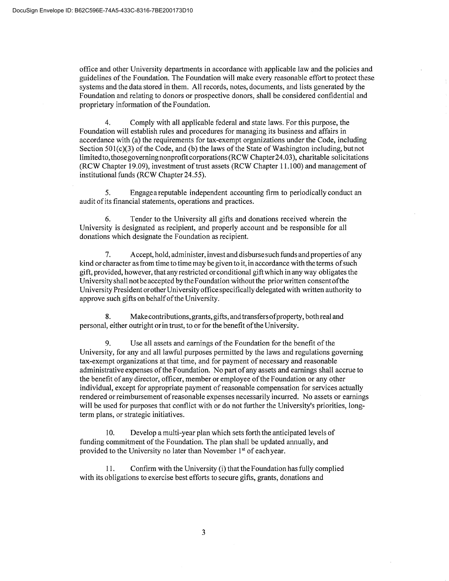office and other University departments in accordance with applicable law and the policies and guidelines of the Foundation. The Foundation will make every reasonable effort to protect these systems and the data stored in them. All records, notes, documents, and lists generated by the Foundation and relating to donors or prospective donors, shall be considered confidential and proprietary information of the Foundation.

4. Comply with all applicable federal and state laws. For this purpose, the Foundation will establish rules and procedures for managing its business and affairs in accordance with (a) the requirements for tax-exempt organizations under the Code, including Section  $501(c)(3)$  of the Code, and (b) the laws of the State of Washington including, but not limitedto, those governing nonprofit corporations (RCW Chapter24.03), charitable solicitations (RCW Chapter 19.09), investment of trust assets (RCW Chapter 11.100) and management of institutional funds (RCW Chapter 24.55).

5. Engage a reputable independent accounting firm to periodically conduct an audit of its financial statements, operations and practices.

6. Tender to the University all gifts and donations received wherein the University is designated as recipient, and properly account and be responsible for all donations which designate the Foundation as recipient.

7. Accept, hold, administer, invest and disburse such funds and properties of any kind or character as from time to time may be given to it, in accordance with the terms of such gift, provided, however, that any restricted or conditional gift which in any way obligates the University shall not be accepted by the Foundation without the prior written consent ofthe University President or other University office specifically delegated with written authority to approve such gifts on behalf of the University.

8. Make contributions,grants,gifts, and transfers ofproperty, both real and personal, either outright or in trust, to or for the benefit of the University.

9. Use all assets and earnings of the Foundation for the benefit of the University, for any and all lawful purposes permitted by the laws and regulations governing tax-exempt organizations at that time, and for payment of necessary and reasonable administrative expenses of the Foundation. No part of any assets and earnings shall accrue to the benefit of any director, officer, member or employee of the Foundation or any other individual, except for appropriate payment of reasonable compensation for services actually rendered or reimbursement of reasonable expenses necessarily incurred. No assets or earnings will be used for purposes that conflict with or do not further the University's priorities, longterm plans, or strategic initiatives.

10. Develop a multi-year plan which sets forth the anticipated levels of funding commitment of the Foundation. The plan shall be updated annually, and provided to the University no later than November 1<sup>st</sup> of each year.

11. Confirm with the University (i) that the Foundation has fully complied with its obligations to exercise best efforts to secure gifts, grants, donations and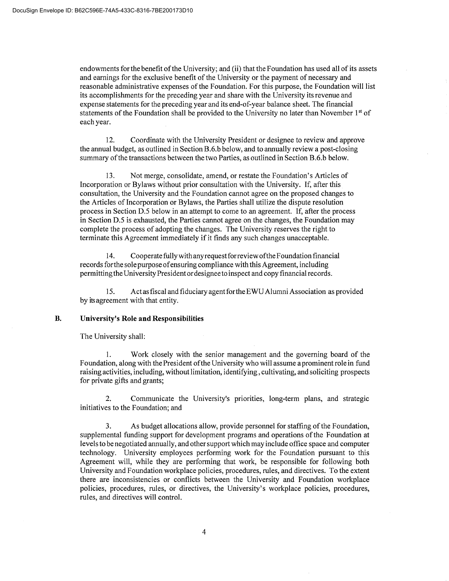endowments for the benefit of the University; and (ii) that the Foundation has used all of its assets and earnings for the exclusive benefit of the University or the payment of necessary and reasonable administrative expenses of the Foundation. For this purpose, the Foundation will list its accomplishments for the preceding year and share with the University its revenue and expense statements for the preceding year and its end-of-year balance sheet. The financial statements of the Foundation shall be provided to the University no later than November  $1<sup>st</sup>$  of each year.

12. Coordinate with the University President or designee to review and approve the annual budget, as outlined in Section B.6.b below, and to annually review a post-closing summary of the transactions between the two Parties, as outlined in Section B.6.b below.

13. Not merge, consolidate, amend, or restate the Foundation's Articles of Incorporation or Bylaws without prior consultation with the University. If, after this consultation, the University and the Foundation cannot agree on the proposed changes to the Articles of Incorporation or Bylaws, the Parties shall utilize the dispute resolution process in Section D.5 below in an attempt to come to an agreement. If, after the process in Section D.5 is exhausted, the Parties cannot agree on the changes, the Foundation may complete the process of adopting the changes. The University reserves the right to terminate this Agreement immediately if it finds any such changes unacceptable.

14. Cooperate fully with any request for review ofthe Foundation financial records forthe sole purpose of ensuring compliance with this Agreement, including permittingthe University President or designeeto inspect and copy financial records.

15. Act as fiscal and fiduciary agent forthe EWU Alumni Association as provided by its agreement with that entity.

### **B. University's Role and Responsibilities**

The University shall:

1. Work closely with the senior management and the governing board of the Foundation, along with the President of the University who will assume a prominent role in fund raising activities, including, without limitation, identifying, cultivating, and soliciting prospects for private gifts and grants;

2. Communicate the University's priorities, long-term plans, and strategic initiatives to the Foundation; and

3. As budget allocations allow, provide personnel for staffing of the Foundation, supplemental funding support for development programs and operations of the Foundation at levels to be negotiated annually, and other support which may include office space and computer technology. University employees performing work for the Foundation pursuant to this Agreement will, while they are performing that work, be responsible for following both University and Foundation workplace policies, procedures, rules, and directives. To the extent there are inconsistencies or conflicts between the University and Foundation workplace policies, procedures, rules, or directives, the University's workplace policies, procedures, rules, and directives will control.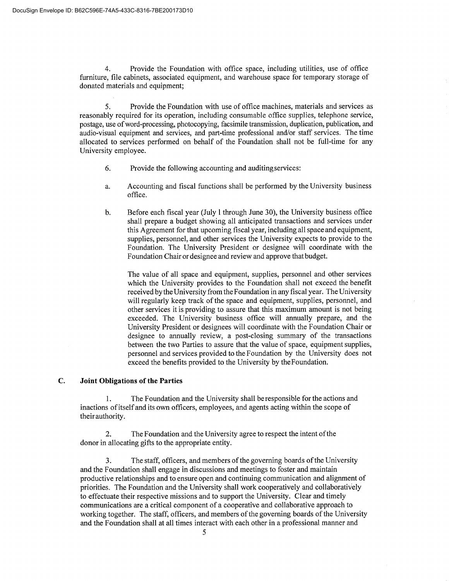4. Provide the Foundation with office space, including utilities, use of office furniture, file cabinets, associated equipment, and warehouse space for temporary storage of donated materials and equipment;

S. Provide the Foundation with use of office machines, materials and services as reasonably required for its operation, including consumable office supplies, telephone service, postage, use of word-processing, photocopying, facsimile transmission, duplication, publication, and audio-visual equipment and services, and part-time professional and/or staff services. The time allocated to services performed on behalf of the Foundation shall not be full-time for any University employee.

- 6. Provide the following accounting and auditing services:
- a. Accounting and fiscal functions shall be performed by the University business office.
- b. Before each fiscal year (July 1 through June 30), the University business office shall prepare a budget showing all anticipated transactions and services under this Agreement for that upcoming fiscal year, including all space and equipment, supplies, personnel, and other services the University expects to provide to the Foundation. The University President or designee will coordinate with the Foundation Chair or designee and review and approve that budget.

The value of all space and equipment, supplies, personnel and other services which the University provides to the Foundation shall not exceed the benefit received by the University from the Foundation in any fiscal year. The University will regularly keep track of the space and equipment, supplies, personnel, and other services it is providing to assure that this maximum amount is not being exceeded. The University business office will annually prepare, and the University President or designees will coordinate with the Foundation Chair or designee to annually review, a post-closing summary of the transactions between the two Parties to assure that the value of space, equipment supplies, personnel and services provided to the Foundation by the University does not exceed the benefits provided to the University by the Foundation.

## **C. Joint Obligations of the Parties**

1. The Foundation and the University shall be responsible for the actions and inactions of itself and its own officers, employees, and agents acting within the scope of their authority.

2. The Foundation and the University agree to respect the intent of the donor in allocating gifts to the appropriate entity.

3. The staff, officers, and members of the governing boards of the University and the Foundation shall engage in discussions and meetings to foster and maintain productive relationships and to ensure open and continuing communication and alignment of priorities. The Foundation and the University shall work cooperatively and collaboratively to effectuate their respective missions and to support the University. Clear and timely communications are a critical component of a cooperative and collaborative approach to working together. The staff, officers, and members of the governing boards of the University and the Foundation shall at all times interact with each other in a professional manner and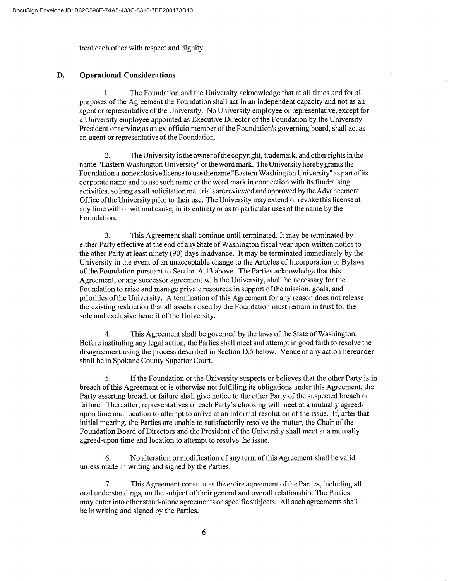treat each other with respect and dignity.

#### **D. Operational Considerations**

1. The Foundation and the University acknowledge that at all times and for all purposes of the Agreement the Foundation shall act in an independent capacity and not as an agent or representative of the University. No University employee or representative, except for a University employee appointed as Executive Director of the Foundation by the University President or serving as an ex-officio member of the Foundation's governing board, shall act as an agent or representative of the Foundation.

2. The University is the owner ofthe copyright, trademark, and other rights in the name "Eastern Washington University" or the word mark. The University hereby grants the Foundation a nonexclusive license to use thename "Eastern Washington University" as part of its corporate name and to use such name or the word mark in connection with its fundraising activities, so long as all solicitation materials are reviewed and approved bythe Advancement Office ofthe University prior to their use. The University may extend or revoke this license at any time with or without cause, in its entirety or as to particular uses of the name by the Foundation.

3. This Agreement shall continue until terminated. It may be terminated by either Party effective at the end of any State of Washington fiscal year upon written notice to the other Party at least ninety (90) days in advance. It may be terminated immediately by the University in the event of an unacceptable change to the Articles of Incorporation or Bylaws of the Foundation pursuant to Section A.13 above. The Parties acknowledge that this Agreement, or any successor agreement with the University, shall he necessary for the Foundation to raise and manage private resources in support of the mission, goals, and priorities of the University. A termination of this Agreement for any reason does not release the existing restriction that all assets raised by the Foundation must remain in trust for the sole and exclusive benefit of the University.

4. This Agreement shall be governed by the laws of the State of Washington. Before instituting any legal action, the Parties shall meet and attempt in good faith to resolve the disagreement using the process described in Section D.5 below. Venue of any action hereunder shall be in Spokane County Superior Court.

5. If the Foundation or the University suspects or believes that the other Party is in breach of this Agreement or is otherwise not fulfilling its obligations under this Agreement, the Party asserting breach or failure shall give notice to the other Party of the suspected breach or failure. Thereafter, representatives of each Party's choosing will meet at a mutually agreedupon time and location to attempt to arrive at an informal resolution of the issue. If, after that initial meeting, the Parties are unable to satisfactorily resolve the matter, the Chair of the Foundation Board of Directors and the President of the University shall meet at a mutually agreed-upon time and location to attempt to resolve the issue.

6. No alteration or modification of any term of this Agreement shall be valid unless made in writing and signed by the Parties.

7. This Agreement constitutes the entire agreement of the Parties, including all oral understandings, on the subject of their general and overall relationship. The Parties may enter into other stand-alone agreements on specific subjects. All such agreements shall be in writing and signed by the Parties.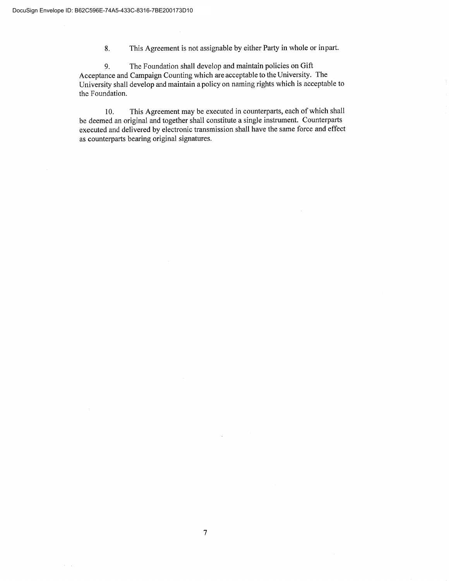8. This Agreement is not assignable by either Party in whole or in part.

9. The Foundation shall develop and maintain policies on Gift Acceptance and Campaign Counting which are acceptable to the University. The University shall develop and maintain a policy on naming rights which is acceptable to the Foundation.

10. This Agreement may be executed in counterparts, each of which shall be deemed an original and together shall constitute a single instrument. Counterparts executed and delivered by electronic transmission shall have the same force and effect as counterparts bearing original signatures.

 $\lambda_{\rm{max}}$